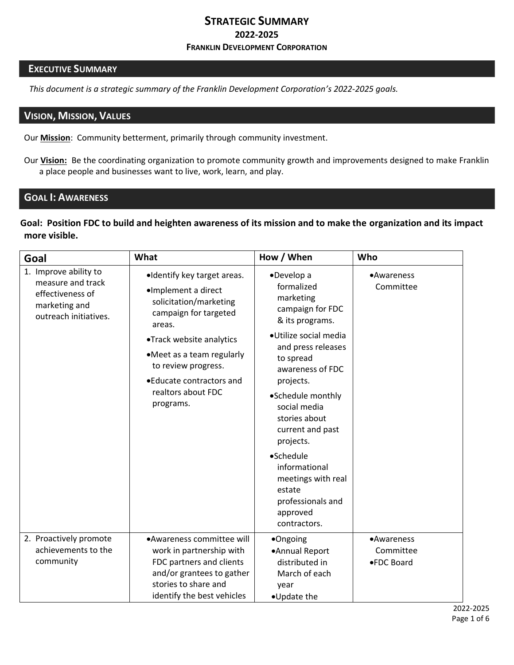### **STRATEGIC SUMMARY 2022-2025 FRANKLIN DEVELOPMENT CORPORATION**

#### **EXECUTIVE SUMMARY**

*This document is a strategic summary of the Franklin Development Corporation's 2022-2025 goals.*

### **VISION, MISSION, VALUES**

Our **Mission**: Community betterment, primarily through community investment.

Our **Vision:** Be the coordinating organization to promote community growth and improvements designed to make Franklin a place people and businesses want to live, work, learn, and play.

## **GOAL I: AWARENESS**

**Goal: Position FDC to build and heighten awareness of its mission and to make the organization and its impact more visible.**

| Goal                                                                                                     | What                                                                                                                                                                                                                                                            | How / When                                                                                                                                                                                                                                                       | Who                                   |
|----------------------------------------------------------------------------------------------------------|-----------------------------------------------------------------------------------------------------------------------------------------------------------------------------------------------------------------------------------------------------------------|------------------------------------------------------------------------------------------------------------------------------------------------------------------------------------------------------------------------------------------------------------------|---------------------------------------|
| 1. Improve ability to<br>measure and track<br>effectiveness of<br>marketing and<br>outreach initiatives. | •Identify key target areas.<br>·Implement a direct<br>solicitation/marketing<br>campaign for targeted<br>areas.<br>•Track website analytics<br>•Meet as a team regularly<br>to review progress.<br>• Educate contractors and<br>realtors about FDC<br>programs. | •Develop a<br>formalized<br>marketing<br>campaign for FDC<br>& its programs.<br>·Utilize social media<br>and press releases<br>to spread<br>awareness of FDC<br>projects.<br>•Schedule monthly<br>social media<br>stories about<br>current and past<br>projects. | •Awareness<br>Committee               |
|                                                                                                          |                                                                                                                                                                                                                                                                 | •Schedule<br>informational<br>meetings with real<br>estate<br>professionals and<br>approved<br>contractors.                                                                                                                                                      |                                       |
| 2. Proactively promote<br>achievements to the<br>community                                               | •Awareness committee will<br>work in partnership with<br>FDC partners and clients<br>and/or grantees to gather<br>stories to share and<br>identify the best vehicles                                                                                            | •Ongoing<br>•Annual Report<br>distributed in<br>March of each<br>year<br>•Update the                                                                                                                                                                             | •Awareness<br>Committee<br>●FDC Board |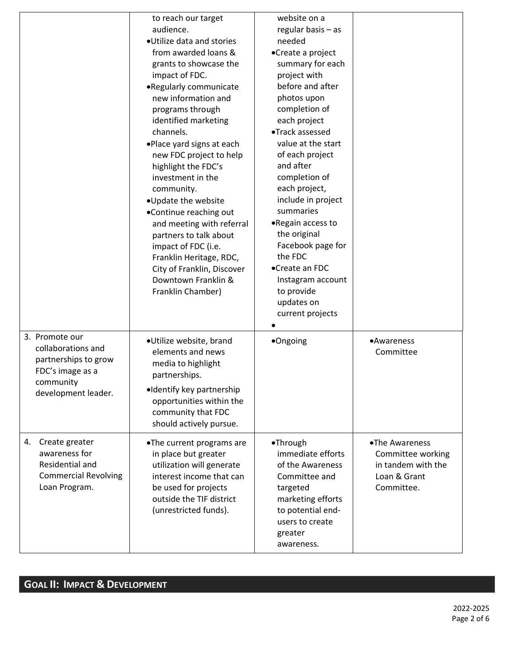|                                                                                                                      | to reach our target<br>audience.<br>·Utilize data and stories<br>from awarded loans &<br>grants to showcase the<br>impact of FDC.<br>.Regularly communicate<br>new information and<br>programs through<br>identified marketing<br>channels.<br>.Place yard signs at each<br>new FDC project to help<br>highlight the FDC's<br>investment in the<br>community.<br>.Update the website<br>•Continue reaching out<br>and meeting with referral<br>partners to talk about<br>impact of FDC (i.e.<br>Franklin Heritage, RDC,<br>City of Franklin, Discover<br>Downtown Franklin &<br>Franklin Chamber) | website on a<br>regular basis - as<br>needed<br>•Create a project<br>summary for each<br>project with<br>before and after<br>photos upon<br>completion of<br>each project<br>•Track assessed<br>value at the start<br>of each project<br>and after<br>completion of<br>each project,<br>include in project<br>summaries<br>.Regain access to<br>the original<br>Facebook page for<br>the FDC<br>•Create an FDC<br>Instagram account<br>to provide<br>updates on<br>current projects |                                                                                         |
|----------------------------------------------------------------------------------------------------------------------|---------------------------------------------------------------------------------------------------------------------------------------------------------------------------------------------------------------------------------------------------------------------------------------------------------------------------------------------------------------------------------------------------------------------------------------------------------------------------------------------------------------------------------------------------------------------------------------------------|-------------------------------------------------------------------------------------------------------------------------------------------------------------------------------------------------------------------------------------------------------------------------------------------------------------------------------------------------------------------------------------------------------------------------------------------------------------------------------------|-----------------------------------------------------------------------------------------|
| 3. Promote our<br>collaborations and<br>partnerships to grow<br>FDC's image as a<br>community<br>development leader. | ·Utilize website, brand<br>elements and news<br>media to highlight<br>partnerships.<br>•Identify key partnership<br>opportunities within the<br>community that FDC<br>should actively pursue.                                                                                                                                                                                                                                                                                                                                                                                                     | •Ongoing                                                                                                                                                                                                                                                                                                                                                                                                                                                                            | •Awareness<br>Committee                                                                 |
| Create greater<br>4.<br>awareness for<br>Residential and<br><b>Commercial Revolving</b><br>Loan Program.             | •The current programs are<br>in place but greater<br>utilization will generate<br>interest income that can<br>be used for projects<br>outside the TIF district<br>(unrestricted funds).                                                                                                                                                                                                                                                                                                                                                                                                           | •Through<br>immediate efforts<br>of the Awareness<br>Committee and<br>targeted<br>marketing efforts<br>to potential end-<br>users to create<br>greater<br>awareness.                                                                                                                                                                                                                                                                                                                | •The Awareness<br>Committee working<br>in tandem with the<br>Loan & Grant<br>Committee. |

# **GOAL II: IMPACT & DEVELOPMENT**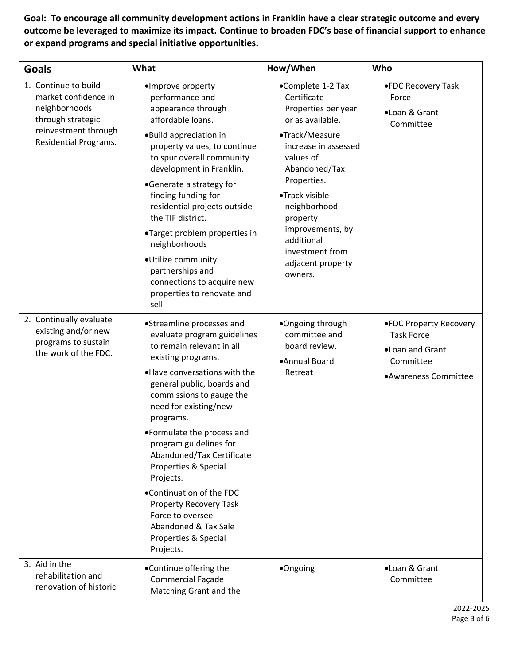**Goal: To encourage all community development actions in Franklin have a clear strategic outcome and every outcome be leveraged to maximize its impact. Continue to broaden FDC's base of financial support to enhance or expand programs and special initiative opportunities.** 

| <b>Goals</b>                                                                                                                        | What                                                                                                                                                                                                                                                                                                                                                                                                                                                                                                                | How/When                                                                                                                                                                                                                                                                                              | Who                                                                                                 |
|-------------------------------------------------------------------------------------------------------------------------------------|---------------------------------------------------------------------------------------------------------------------------------------------------------------------------------------------------------------------------------------------------------------------------------------------------------------------------------------------------------------------------------------------------------------------------------------------------------------------------------------------------------------------|-------------------------------------------------------------------------------------------------------------------------------------------------------------------------------------------------------------------------------------------------------------------------------------------------------|-----------------------------------------------------------------------------------------------------|
| 1. Continue to build<br>market confidence in<br>neighborhoods<br>through strategic<br>reinvestment through<br>Residential Programs. | ·Improve property<br>performance and<br>appearance through<br>affordable loans.<br>.Build appreciation in<br>property values, to continue<br>to spur overall community<br>development in Franklin.<br>•Generate a strategy for<br>finding funding for<br>residential projects outside<br>the TIF district.<br>•Target problem properties in<br>neighborhoods<br>·Utilize community<br>partnerships and<br>connections to acquire new<br>properties to renovate and<br>sell                                          | •Complete 1-2 Tax<br>Certificate<br>Properties per year<br>or as available.<br>•Track/Measure<br>increase in assessed<br>values of<br>Abandoned/Tax<br>Properties.<br>•Track visible<br>neighborhood<br>property<br>improvements, by<br>additional<br>investment from<br>adjacent property<br>owners. | •FDC Recovery Task<br>Force<br>·Loan & Grant<br>Committee                                           |
| 2. Continually evaluate<br>existing and/or new<br>programs to sustain<br>the work of the FDC.                                       | •Streamline processes and<br>evaluate program guidelines<br>to remain relevant in all<br>existing programs.<br>.Have conversations with the<br>general public, boards and<br>commissions to gauge the<br>need for existing/new<br>programs.<br>•Formulate the process and<br>program guidelines for<br>Abandoned/Tax Certificate<br>Properties & Special<br>Projects.<br>.Continuation of the FDC<br><b>Property Recovery Task</b><br>Force to oversee<br>Abandoned & Tax Sale<br>Properties & Special<br>Projects. | •Ongoing through<br>committee and<br>board review.<br>•Annual Board<br>Retreat                                                                                                                                                                                                                        | .FDC Property Recovery<br><b>Task Force</b><br>.Loan and Grant<br>Committee<br>•Awareness Committee |
| 3. Aid in the<br>rehabilitation and<br>renovation of historic                                                                       | •Continue offering the<br>Commercial Façade<br>Matching Grant and the                                                                                                                                                                                                                                                                                                                                                                                                                                               | •Ongoing                                                                                                                                                                                                                                                                                              | •Loan & Grant<br>Committee                                                                          |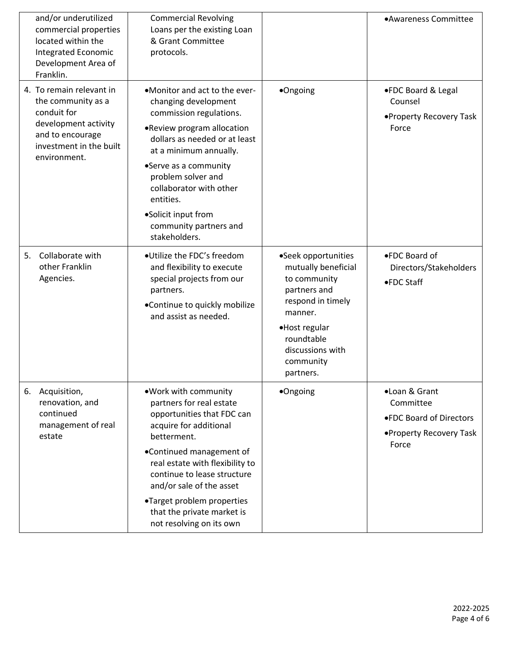| and/or underutilized<br>commercial properties<br>located within the<br>Integrated Economic<br>Development Area of<br>Franklin.                       | <b>Commercial Revolving</b><br>Loans per the existing Loan<br>& Grant Committee<br>protocols.                                                                                                                                                                                                                                             |                                                                                                                                                                                         | •Awareness Committee                                                                      |
|------------------------------------------------------------------------------------------------------------------------------------------------------|-------------------------------------------------------------------------------------------------------------------------------------------------------------------------------------------------------------------------------------------------------------------------------------------------------------------------------------------|-----------------------------------------------------------------------------------------------------------------------------------------------------------------------------------------|-------------------------------------------------------------------------------------------|
| 4. To remain relevant in<br>the community as a<br>conduit for<br>development activity<br>and to encourage<br>investment in the built<br>environment. | •Monitor and act to the ever-<br>changing development<br>commission regulations.<br>.Review program allocation<br>dollars as needed or at least<br>at a minimum annually.<br>•Serve as a community<br>problem solver and<br>collaborator with other<br>entities.<br>•Solicit input from<br>community partners and<br>stakeholders.        | •Ongoing                                                                                                                                                                                | ●FDC Board & Legal<br>Counsel<br>•Property Recovery Task<br>Force                         |
| Collaborate with<br>5.<br>other Franklin<br>Agencies.                                                                                                | ·Utilize the FDC's freedom<br>and flexibility to execute<br>special projects from our<br>partners.<br>•Continue to quickly mobilize<br>and assist as needed.                                                                                                                                                                              | •Seek opportunities<br>mutually beneficial<br>to community<br>partners and<br>respond in timely<br>manner.<br>•Host regular<br>roundtable<br>discussions with<br>community<br>partners. | ●FDC Board of<br>Directors/Stakeholders<br>●FDC Staff                                     |
| 6. Acquisition,<br>renovation, and<br>continued<br>management of real<br>estate                                                                      | .Work with community<br>partners for real estate<br>opportunities that FDC can<br>acquire for additional<br>betterment.<br>•Continued management of<br>real estate with flexibility to<br>continue to lease structure<br>and/or sale of the asset<br>•Target problem properties<br>that the private market is<br>not resolving on its own | ·Ongoing                                                                                                                                                                                | •Loan & Grant<br>Committee<br>●FDC Board of Directors<br>•Property Recovery Task<br>Force |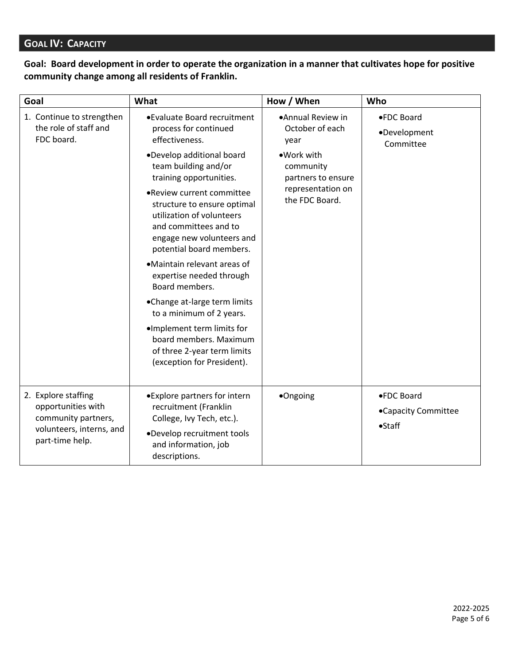## **GOAL IV: CAPACITY**

## **Goal: Board development in order to operate the organization in a manner that cultivates hope for positive community change among all residents of Franklin.**

| Goal                                                                                                            | What                                                                                                                                                                                                                                                                                                                                                                                                                                                                                                                                                                                            | How / When                                                                                                                           | Who                                            |
|-----------------------------------------------------------------------------------------------------------------|-------------------------------------------------------------------------------------------------------------------------------------------------------------------------------------------------------------------------------------------------------------------------------------------------------------------------------------------------------------------------------------------------------------------------------------------------------------------------------------------------------------------------------------------------------------------------------------------------|--------------------------------------------------------------------------------------------------------------------------------------|------------------------------------------------|
| 1. Continue to strengthen<br>the role of staff and<br>FDC board.                                                | •Evaluate Board recruitment<br>process for continued<br>effectiveness.<br>.Develop additional board<br>team building and/or<br>training opportunities.<br>.Review current committee<br>structure to ensure optimal<br>utilization of volunteers<br>and committees and to<br>engage new volunteers and<br>potential board members.<br>•Maintain relevant areas of<br>expertise needed through<br>Board members.<br>•Change at-large term limits<br>to a minimum of 2 years.<br>·Implement term limits for<br>board members. Maximum<br>of three 2-year term limits<br>(exception for President). | •Annual Review in<br>October of each<br>year<br>•Work with<br>community<br>partners to ensure<br>representation on<br>the FDC Board. | ●FDC Board<br>•Development<br>Committee        |
| 2. Explore staffing<br>opportunities with<br>community partners,<br>volunteers, interns, and<br>part-time help. | •Explore partners for intern<br>recruitment (Franklin<br>College, Ivy Tech, etc.).<br>.Develop recruitment tools<br>and information, job<br>descriptions.                                                                                                                                                                                                                                                                                                                                                                                                                                       | •Ongoing                                                                                                                             | ●FDC Board<br>•Capacity Committee<br>$•$ Staff |